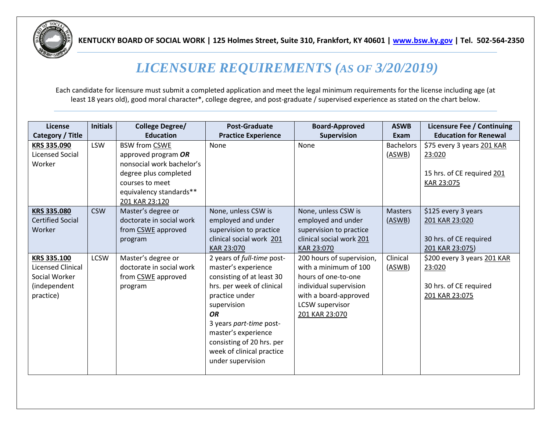

**KENTUCKY BOARD OF SOCIAL WORK | 125 Holmes Street, Suite 310, Frankfort, KY 40601 [| www.bsw.ky.gov](https://bsw.ky.gov/Pages/index.aspx) | Tel. 502-564-2350**

## *LICENSURE REQUIREMENTS (AS OF 3/20/2019)*

Each candidate for licensure must submit a completed application and meet the legal minimum requirements for the license including age (at least 18 years old), good moral character\*, college degree, and post-graduate / supervised experience as stated on the chart below.

| License                  | <b>Initials</b> | <b>College Degree/</b>    | <b>Post-Graduate</b>       | <b>Board-Approved</b>     | <b>ASWB</b>      | Licensure Fee / Continuing   |
|--------------------------|-----------------|---------------------------|----------------------------|---------------------------|------------------|------------------------------|
| Category / Title         |                 | <b>Education</b>          | <b>Practice Experience</b> | Supervision               | Exam             | <b>Education for Renewal</b> |
| KRS 335.090              | <b>LSW</b>      | <b>BSW from CSWE</b>      | None                       | None                      | <b>Bachelors</b> | \$75 every 3 years 201 KAR   |
| <b>Licensed Social</b>   |                 | approved program OR       |                            |                           | (ASWB)           | 23:020                       |
| Worker                   |                 | nonsocial work bachelor's |                            |                           |                  |                              |
|                          |                 | degree plus completed     |                            |                           |                  | 15 hrs. of CE required 201   |
|                          |                 | courses to meet           |                            |                           |                  | KAR 23:075                   |
|                          |                 | equivalency standards**   |                            |                           |                  |                              |
|                          |                 | 201 KAR 23:120            |                            |                           |                  |                              |
| <b>KRS 335.080</b>       | <b>CSW</b>      | Master's degree or        | None, unless CSW is        | None, unless CSW is       | <b>Masters</b>   | \$125 every 3 years          |
| <b>Certified Social</b>  |                 | doctorate in social work  | employed and under         | employed and under        | (ASWB)           | 201 KAR 23:020               |
| Worker                   |                 | from CSWE approved        | supervision to practice    | supervision to practice   |                  |                              |
|                          |                 | program                   | clinical social work 201   | clinical social work 201  |                  | 30 hrs. of CE required       |
|                          |                 |                           | KAR 23:070                 | KAR 23:070                |                  | 201 KAR 23:075)              |
| KRS 335.100              | <b>LCSW</b>     | Master's degree or        | 2 years of full-time post- | 200 hours of supervision, | Clinical         | \$200 every 3 years 201 KAR  |
| <b>Licensed Clinical</b> |                 | doctorate in social work  | master's experience        | with a minimum of 100     | (ASWB)           | 23:020                       |
| Social Worker            |                 | from CSWE approved        | consisting of at least 30  | hours of one-to-one       |                  |                              |
| (independent             |                 | program                   | hrs. per week of clinical  | individual supervision    |                  | 30 hrs. of CE required       |
| practice)                |                 |                           | practice under             | with a board-approved     |                  | 201 KAR 23:075               |
|                          |                 |                           | supervision                | LCSW supervisor           |                  |                              |
|                          |                 |                           | <b>OR</b>                  | 201 KAR 23:070            |                  |                              |
|                          |                 |                           | 3 years part-time post-    |                           |                  |                              |
|                          |                 |                           | master's experience        |                           |                  |                              |
|                          |                 |                           | consisting of 20 hrs. per  |                           |                  |                              |
|                          |                 |                           | week of clinical practice  |                           |                  |                              |
|                          |                 |                           | under supervision          |                           |                  |                              |
|                          |                 |                           |                            |                           |                  |                              |